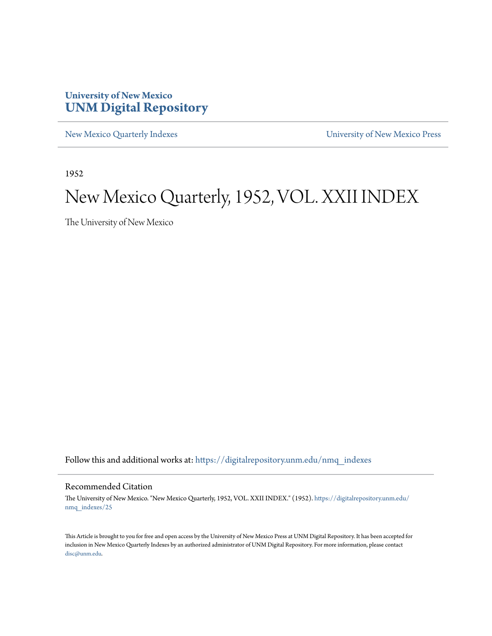## **University of New Mexico [UNM Digital Repository](https://digitalrepository.unm.edu?utm_source=digitalrepository.unm.edu%2Fnmq_indexes%2F25&utm_medium=PDF&utm_campaign=PDFCoverPages)**

[New Mexico Quarterly Indexes](https://digitalrepository.unm.edu/nmq_indexes?utm_source=digitalrepository.unm.edu%2Fnmq_indexes%2F25&utm_medium=PDF&utm_campaign=PDFCoverPages) [University of New Mexico Press](https://digitalrepository.unm.edu/press?utm_source=digitalrepository.unm.edu%2Fnmq_indexes%2F25&utm_medium=PDF&utm_campaign=PDFCoverPages)

1952

## New Mexico Quarterly, 1952, VOL. XXII INDEX

The University of New Mexico

Follow this and additional works at: [https://digitalrepository.unm.edu/nmq\\_indexes](https://digitalrepository.unm.edu/nmq_indexes?utm_source=digitalrepository.unm.edu%2Fnmq_indexes%2F25&utm_medium=PDF&utm_campaign=PDFCoverPages)

## Recommended Citation

The University of New Mexico. "New Mexico Quarterly, 1952, VOL. XXII INDEX." (1952). [https://digitalrepository.unm.edu/](https://digitalrepository.unm.edu/nmq_indexes/25?utm_source=digitalrepository.unm.edu%2Fnmq_indexes%2F25&utm_medium=PDF&utm_campaign=PDFCoverPages) [nmq\\_indexes/25](https://digitalrepository.unm.edu/nmq_indexes/25?utm_source=digitalrepository.unm.edu%2Fnmq_indexes%2F25&utm_medium=PDF&utm_campaign=PDFCoverPages)

This Article is brought to you for free and open access by the University of New Mexico Press at UNM Digital Repository. It has been accepted for inclusion in New Mexico Quarterly Indexes by an authorized administrator of UNM Digital Repository. For more information, please contact [disc@unm.edu](mailto:disc@unm.edu).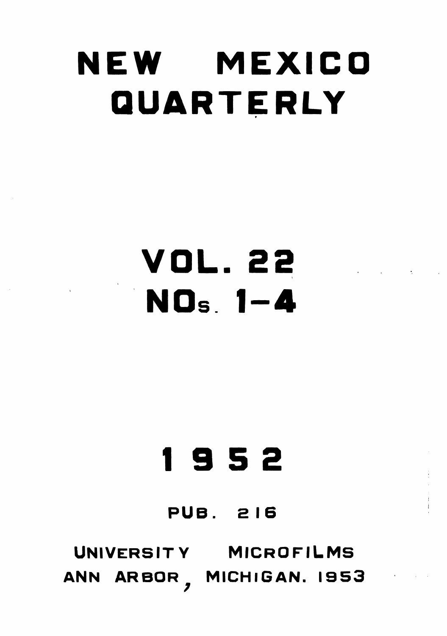# NEW MEXICO QUARTERLY

VOL.22 NOS. 1-4

# 1952

## **PUB. 216**

## UNIVERSITY MICROFILMS ANN ARBOR, MICHIGAN. 1953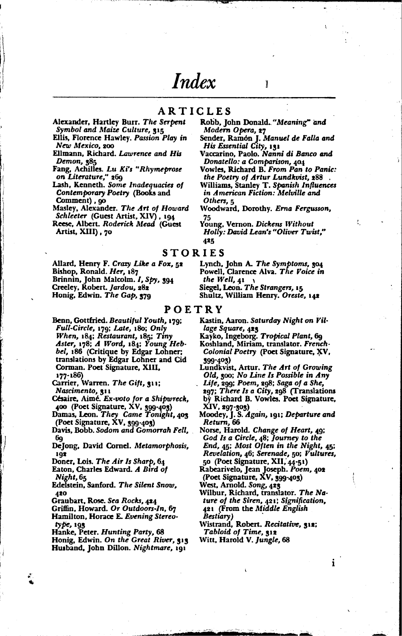## Index

Modern Opera, 27

Others, 5

425

His Essential City, 131

**ARTICLES** Robb, John Donald. "Meaning" and Alexander, Hartley Burr. The Serpent

Symbol and Maize Culture, 315 Ellis, Florence Hawley. Passion Play in New Mexico, 200

Ellmann, Richard. Lawrence and His Demon, 385

Fang, Achilles. Lu Ki's "Rhymeprose on Literature," 269

Lash, Kenneth. Some Inadequacies of Contemporary Poetry (Books and Comment), 90

Masley, Alexander. The Art of Howard Schleeter (Guest Artist, XIV), 194

Reese, Albert. Roderick Mead (Guest Artist, XIII), 70

Allard, Henry F. Crazy Like a Fox, 52 Bishop, Ronald. Her, 187 Brinnin, John Malcolm. 1, Spy, 394<br>Creeley, Robert. Jardou, 282 Honig, Edwin. The Gap, 379

STORIES Lynch, John A. The Symptoms, 304<br>Powell, Clarence Alva. The Voice in the Well, 41 Siegel, Leon. The Strangers, 15

Sender, Ramón J. Manuel de Falla and

Vaccarino, Paolo. Nanni di Banco and Donatello: a Comparison, 404

Vowles, Richard B. From Pan to Panic:

Williams, Stanley T. Spanish Influences

the Poetry of Artur Lundkvist, 288

in American Fiction: Melville and

Young, Vernon. Dickens Without

Woodward, Dorothy. Erna Fergusson,

Holly: David Lean's "Oliver Twist,"

Shultz, William Henry. Oreste, 142

POETRY

Benn, Gottfried. Beautiful Youth, 179; Full-Circle, 179; Late, 180; Only When, 184; Restaurant, 185; Tiny Aster, 178; A Word, 184; Young Hebbel, 186 (Critique by Edgar Lohner; translations by Edgar Lohner and Cid Corman. Poet Signature, XIII,  $177 - 186$ 

Carrier, Warren. The Gift, 311; Nascimento, 311

Césaire, Aimé. Ex-voto for a Shipwreck,

400 (Poet Signature, XV, 399-403)<br>Damas, Leon. They Came Tonight, 403 (Poet Signature, XV, 399-403)

Davis, Bobb. Sodom and Gomorrah Fell, 6g

DeJong, David Cornel. Metamorphosis, 102

Doner, Lois. The Air Is Sharp, 64

Eaton, Charles Edward. A Bird of Night, 65

Edelstein, Sanford. The Silent Snow, 420

Graubart, Rose. Sea Rocks, 424

Griffin, Howard. Or Outdoors-In, 67 Hamilton, Horace E. Evening Stereotype, 193

Hanke, Peter. Hunting Party, 68

Honig, Edwin. On the Great River, 515 Husband, John Dillon. Nightmare, 191

Kastin, Aaron. Saturday Night on Village Square, 423

Kayko, Ingeborg. Tropical Plant, 69

Koshland, Miriam, translator. French-Colonial Poetry (Poet Signature, XV, 399-403)

Lundkvist, Artur. The Art of Growing Old, 300; No Line Is Possible in Any Life, 299; Poem, 298; Saga of a She,

297; There Is a City, 298 (Translations by Richard B. Vowles. Poet Signature,

XIV, 297-303)<br>Moodey, J. S. Again, 191; Departure and Return. 66

Norse, Harold. Change of Heart, 49: God Is a Circle, 48; Journey to the End, 45; Most Often in the Night, 45: Revelation, 46; Serenade, 50; Vultures,

50 (Poet Signature, XII, 44-51)<br>Rabearivelo, Jean Joseph. Poem, 402<br>(Poet Signature, XV, 399-403)

West, Arnold. Song, 423

- Wilbur, Richard, translator. The Nature of the Siren, 421; Signification, 421 (From the Middle English Bestiary)
- Wistrand, Robert. Recitative, 312; Tabloid of Time, 312

Witt, Harold V. Jungle, 68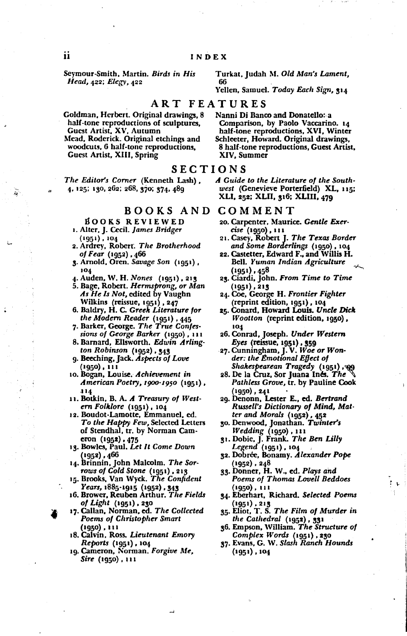Seymour-Smith, Martin. Birds in His Head, 422; Elegy, 422

Turkat, Judah M. Old Man's Lament, 66

Yellen, Samuel. Today Each Sign, 314

## ART FEATURES

- Goldman, Herbert. Original drawings, 8 half-tone reproductions of sculptures, Guest Artist, XV, Autumn
- Mead, Roderick. Original etchings and woodcuts, 6 half-tone reproductions, Guest Artist, XIII, Spring

### SECTIONS

The Editor's Corner (Kenneth Lash), 4, 125; 130, 262; 268, 370; 374, 489

BOOKS AND

- BOOKS REVIEWED 1. Alter, J. Cecil. James Bridger
- $(1951)$ , 104 2. Ardrey, Robert. The Brotherhood
- of Fear (1952), 466<br>3. Arnold, Oren. Savage Son (1951),
- 104
- 4. Auden, W. H. Nones (1951), 213
- 5. Bage, Robert. Hermsprong, or Man As He Is Not, edited by Vaughn Wilkins (reissue, 1951), 247
- 6. Baldry, H. C. Greek Literature for the Modern Reader (1951), 445<br>7. Barker, George. The True Confes-
- sions of George Barker (1950), 111
- 8. Barnard, Ellsworth. Edwin Arlington Robinson (1952), 343
- 9. Beeching, Jack. Aspects of Love 1950) , 111
- 10. Bogan, Louise. Achievement in American Poetry, 1900-1950 (1951), 114
- 11. Botkin, B. A. A Treasury of Western Folklore (1951), 104
- 12. Boudot-Lamotte, Emmanuel, ed. To the Happy Few, Selected Letters of Stendhal, tr. by Norman Cameron  $(1952)$ , 475
- 13. Bowles, Paul. Let It Come Down 1952) , 466
- 14. Brinnin, John Malcolm. The Sorrows of Cold Stone (1951), 213<br>15. Brooks, Van Wyck. The Confident
- 
- Years, 1885-1915 (1952), 343<br>16. Brower, Reuben Arthur. The Fields of Light (1951), 230
- 17. Callan, Norman, ed. The Collected Poems of Christopher Smart (1950) , 111
- 18. Calvin, Ross. Lieutenant Emory *Reports* (1951), 104
- 19. Cameron, Norman. Forgive Me,  $Sire (1950)$ , 111

Nanni Di Banco and Donatello: a Comparison, by Paolo Vaccarino. 14 half-tone reproductions, XVI, Winter Schleeter, Howard. Original drawings, 8 half-tone reproductions, Guest Artist, XIV. Summer

A Guide to the Literature of the Southwest (Genevieve Porterfield) XL, 115; XLI, 252; XLII, 316; XLIII, 479

### COMMENT

- 20. Carpenter, Maurice. Gentle Exercise (1950), 111
- 21. Casey, Robert J. The Texas Border and Some Borderlings (1950), 104
- 22. Castetter, Edward F., and Willis H. Bell. Yuman Indian Agriculture (1951) , 458
- 23. Ciardi, John. From Time to Time (1951) , 213
- 24. Coe, George H. Frontier Fighter (reprint edition, 1951), 104
- 25. Conard, Howard Louis. Uncle Dick *Wootton* (reprint edition, 1950), 104
- 26. Conrad, Joseph. Under Western
- Eyes (reissue, 1951), 359<br>27. Cunningham, J. V. Woe or Wonder: the Emotional Effect of der: the Environment of (1951), and<br>Shakespearean Tragedy (1951), and
- 28. De la Cruz, Sor Juana Inés. The Pathless Grove, Ir. by Pauline Cook 1950) , 241
- 29. Denonn, Lester E., ed. Bertrand Russell's Dictionary of Mind, Matter and Morals (1952), 452
- 30. Denwood, Jonathan. Twinter's Wedding (1950), 111<br>31. Dobie, J. Frank. The Ben Lilly
- Legend (1951), 104
- 32. Dobrée, Bonamy. Alexander Pope 1952), 248
- 33. Donner, H. W., ed. Plays and Poems of Thomas Lovell Beddoes 1950) , 111
- 34. Eberhart, Richard. Selected Poems 1951), 213
- 35. Eliot, T. S. The Film of Murder in the Cathedral  $(1952)$ ,  $331$
- 36. Empson, William. The Structure of Complex Words (1951), 230
- 37. Evans, G. W. Slash Ranch Hounds  $(1951)$ ,  $104$

 $\mathbf{Q}$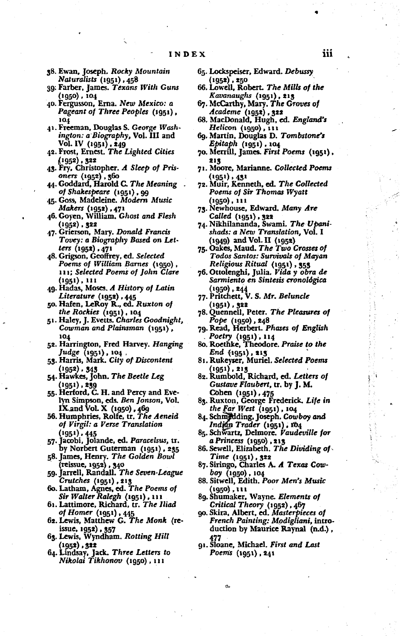- 38. Ewan, Joseph. Rocky Mountain *Naturalists (1951)* , 458
- 39: Farber, James. Texans With Guns  $(1950)$ ,  $104$
- 40. Fergusson, Erna. New Mexico: a Pageant of Three Peoples (1951), 104
- 41. Freeman, Douglas S. George Washington: a Biography, Vol. III and Vol. IV (1951), 249<br>42. Frost, Ernest. The Lighted Cities
- 1952), 322
- 43. Fry, Christopher. A Sleep of Prisoners (1952), 560
- 44. Goddard, Harold C. The Meaning of Shakespeare (1951), 99
- 45. Goss, Madeleine. Modern Music Makers (1952), 471
- 46. Goyen, William. Ghost and Flesh 1952), 322
- 47. Grierson, Mary. Donald Francis Tovey: a Biography Based on Letters (1952), 471
- 48. Grigson, Geoffrey, ed. Selected Poems of William Barnes (1950), 111; Selected Poems of John Clare (1951), 111
- 49. Hadas, Moses. A History of Latin Literature (1952), 445<br>50. Hafen, LeRoy R., ed. Ruxton of
- the Rockies (1951), 104
- 51. Haley, J. Evetts. Charles Goodnight, Cowman and Plainsman (1951), 104
- 52. Harrington, Fred Harvey. Hanging Judge (1951), 104 .
- 53. Harris, Mark. City of Discontent  $(1952)$  ,  $343$
- 54. Hawkes, John. The Beetle Leg 1951), 239
- 55. Herford, C. H. and Percy and Evelyn Simpson, eds. Ben Jonson, Vol.
- IX and Vol. X (1950), 469<br>56. Humphries, Rolfe, tr. The Aeneid of Virgil: a Verse Translation
- (1951), 445<br>57. Jacobi, Jolande, ed. Paracelsus, tr. by Norbert Guterman (1951), 235
- 58. James, Henry. The Golden Bowl (reissue, 1952) , 340
- 59. Jarrell, Randall. The Seven-League Crutches (1951), 213
- 60. Latham, Agnes, ed. The Poems of Sir Walter Ralegh (1951), 111
- 61. Lattimore, Richard, tr. The Iliad
- of Homer (1951), 445<br>62. Lewis, Matthew G. The Monk (reissue, 1952), 357
- 63. Lewis, Wyndham. Rotting Hill 1952) , 322
- 64. Lindsay, Jack. Three Letters to<br>Nikolai Tikhonov (1950), 111
- 65. Lockspeiser, Edward. Debussy 1952) , 250
- 66. Lowell, Robert. The Mills of the Kavanaughs (1951), 213
- 67. McCarthy, Mary. The Groves of  $Academe$  (1952), 323
- 68. MacDonald, Hugh, ed. England's Helicon (1950) , 111
- 69. Martin, Douglas D. Tombstone's *Epitaph* (1951), 104
- 70. Merrill, James. First Poems (1951), 213
- 71. Moore, Marianne. Collected Poems (1951) , 431
- 72. Muir, Kenneth, ed. The Collected Poems of Sir Thomas Wyatt (1950) , 111
- 73. Newhouse, Edward. Many Are
- Called (1951), 322<br>74. Nikhilananda, Swami. The Upanishads: a New Translation, Vol. I (1949) and Vol. II (1952)<br>75. Oakes, Maud. The Two Crosses of
- Todos Santos: Survivals of Mayan Religious Ritual (1951), 353
- 76. Ottolenghi, Julia. Vida y obra de Sarmiento en Sintesis cronológica (1950) , 244<br>77. Pritchett, V. S. Mr. Beluncle
- (1951) , 322
- 78. Quennell, Peter. The Pleasures of Pope (1950), 248
- 79. Read, Herbert. Phases of English
- Poetry (1951), 114<br>80. Roethke, Theodore. Praise to the
- End (1951), 213<br>81. Rukeyser, Muriel. Selected Poems
- (1951), 213<br>82. Rumbold, Richard, ed. Letters of Gustave Flaubert, tr. by J. M. Cohen (1951), 475
- 83. Ruxton, George Frederick. Life in the Far West (1951), 104
- 84. Schmedding, Joseph. Cowboy and Indian Trader (1951), 104
- 85. Schwartz, Delmore. Vaudeville for a Princess (1950), 213
- 86. Sewell, Elizabeth. The Dividing of Time (1951), 322
- 87. Siringo, Charles A. A Texas Cow*boy* (1950), 104
- 88. Sitwell, Edith. Poor Men's Music (1950) , 111
- 89. Shumaker, Wayne. Elements of
- Critical Theory (1952), 467<br>90. Skira, Albert, ed. Masterpieces of French Painting: Modigliani, introduction by Maurice Raynal (n.d.),
- 91. Sloane, Michael. First and Last Poems (1951), 241

e.